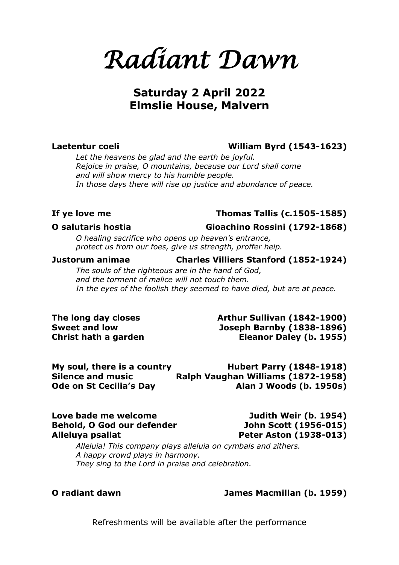*Radiant Dawn* 

# **Saturday 2 April 2022 Elmslie House, Malvern**

## **Laetentur coeli William Byrd (1543-1623)**

*Let the heavens be glad and the earth be joyful. Rejoice in praise, O mountains, because our Lord shall come and will show mercy to his humble people. In those days there will rise up justice and abundance of peace.*

## **If ye love me Thomas Tallis (c.1505-1585)**

## **O salutaris hostia Gioachino Rossini (1792-1868)**

*O healing sacrifice who opens up heaven's entrance, protect us from our foes, give us strength, proffer help.*

### **Justorum animae Charles Villiers Stanford (1852-1924)**

*The souls of the righteous are in the hand of God, and the torment of malice will not touch them. In the eyes of the foolish they seemed to have died, but are at peace.*

The long day closes **Arthur Sullivan (1842-1900) Sweet and low Joseph Barnby (1838-1896) Christ hath a garden Eleanor Daley (b. 1955)**

| My soul, there is a country    | <b>Hubert Parry (1848-1918)</b>    |
|--------------------------------|------------------------------------|
| <b>Silence and music</b>       | Ralph Vaughan Williams (1872-1958) |
| <b>Ode on St Cecilia's Day</b> | Alan J Woods (b. 1950s)            |

## **Love bade me welcome Judith Weir (b. 1954) Behold, O God our defender John Scott (1956-015) Alleluya psallat Peter Aston (1938-013)**

*Alleluia! This company plays alleluia on cymbals and zithers. A happy crowd plays in harmony. They sing to the Lord in praise and celebration.*

## **O radiant dawn James Macmillan (b. 1959)**

Refreshments will be available after the performance